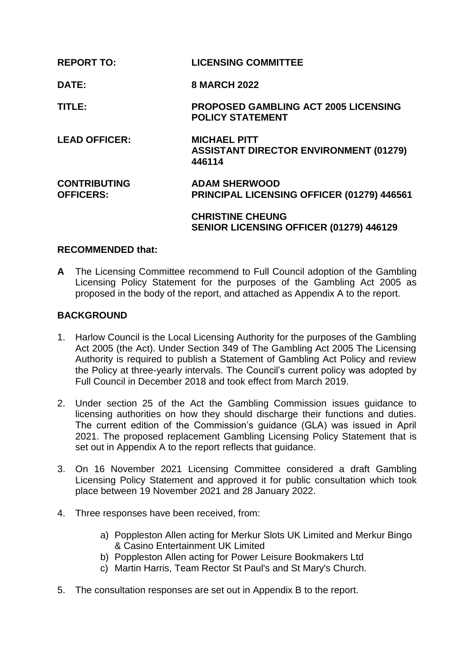| <b>REPORT TO:</b>                       | <b>LICENSING COMMITTEE</b>                                                     |
|-----------------------------------------|--------------------------------------------------------------------------------|
| <b>DATE:</b>                            | <b>8 MARCH 2022</b>                                                            |
| TITLE:                                  | <b>PROPOSED GAMBLING ACT 2005 LICENSING</b><br><b>POLICY STATEMENT</b>         |
| <b>LEAD OFFICER:</b>                    | <b>MICHAEL PITT</b><br><b>ASSISTANT DIRECTOR ENVIRONMENT (01279)</b><br>446114 |
| <b>CONTRIBUTING</b><br><b>OFFICERS:</b> | <b>ADAM SHERWOOD</b><br>PRINCIPAL LICENSING OFFICER (01279) 446561             |
|                                         | <b>CHRISTINE CHEUNG</b><br>SENIOR LICENSING OFFICER (01279) 446129             |

## **RECOMMENDED that:**

**A** The Licensing Committee recommend to Full Council adoption of the Gambling Licensing Policy Statement for the purposes of the Gambling Act 2005 as proposed in the body of the report, and attached as Appendix A to the report.

## **BACKGROUND**

- 1. Harlow Council is the Local Licensing Authority for the purposes of the Gambling Act 2005 (the Act). Under Section 349 of The Gambling Act 2005 The Licensing Authority is required to publish a Statement of Gambling Act Policy and review the Policy at three-yearly intervals. The Council's current policy was adopted by Full Council in December 2018 and took effect from March 2019.
- 2. Under section 25 of the Act the Gambling Commission issues guidance to licensing authorities on how they should discharge their functions and duties. The current edition of the Commission's guidance (GLA) was issued in April 2021. The proposed replacement Gambling Licensing Policy Statement that is set out in Appendix A to the report reflects that guidance.
- 3. On 16 November 2021 Licensing Committee considered a draft Gambling Licensing Policy Statement and approved it for public consultation which took place between 19 November 2021 and 28 January 2022.
- 4. Three responses have been received, from:
	- a) Poppleston Allen acting for Merkur Slots UK Limited and Merkur Bingo & Casino Entertainment UK Limited
	- b) Poppleston Allen acting for Power Leisure Bookmakers Ltd
	- c) Martin Harris, Team Rector St Paul's and St Mary's Church.
- 5. The consultation responses are set out in Appendix B to the report.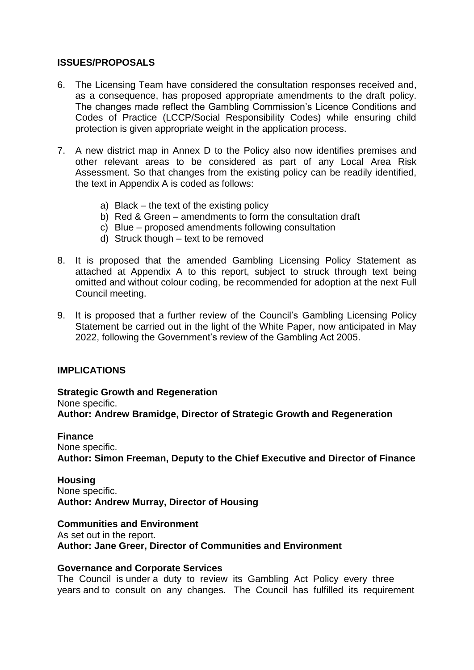## **ISSUES/PROPOSALS**

- 6. The Licensing Team have considered the consultation responses received and, as a consequence, has proposed appropriate amendments to the draft policy. The changes made reflect the Gambling Commission's Licence Conditions and Codes of Practice (LCCP/Social Responsibility Codes) while ensuring child protection is given appropriate weight in the application process.
- 7. A new district map in Annex D to the Policy also now identifies premises and other relevant areas to be considered as part of any Local Area Risk Assessment. So that changes from the existing policy can be readily identified, the text in Appendix A is coded as follows:
	- a) Black the text of the existing policy
	- b) Red & Green amendments to form the consultation draft
	- c) Blue proposed amendments following consultation
	- d) Struck though text to be removed
- 8. It is proposed that the amended Gambling Licensing Policy Statement as attached at Appendix A to this report, subject to struck through text being omitted and without colour coding, be recommended for adoption at the next Full Council meeting.
- 9. It is proposed that a further review of the Council's Gambling Licensing Policy Statement be carried out in the light of the White Paper, now anticipated in May 2022, following the Government's review of the Gambling Act 2005.

## **IMPLICATIONS**

**Strategic Growth and Regeneration**  None specific. **Author: Andrew Bramidge, Director of Strategic Growth and Regeneration** 

#### **Finance**

None specific. **Author: Simon Freeman, Deputy to the Chief Executive and Director of Finance**

## **Housing**

None specific. **Author: Andrew Murray, Director of Housing** 

#### **Communities and Environment**

As set out in the report. **Author: Jane Greer, Director of Communities and Environment**

#### **Governance and Corporate Services**

The Council is under a duty to review its Gambling Act Policy every three years and to consult on any changes. The Council has fulfilled its requirement